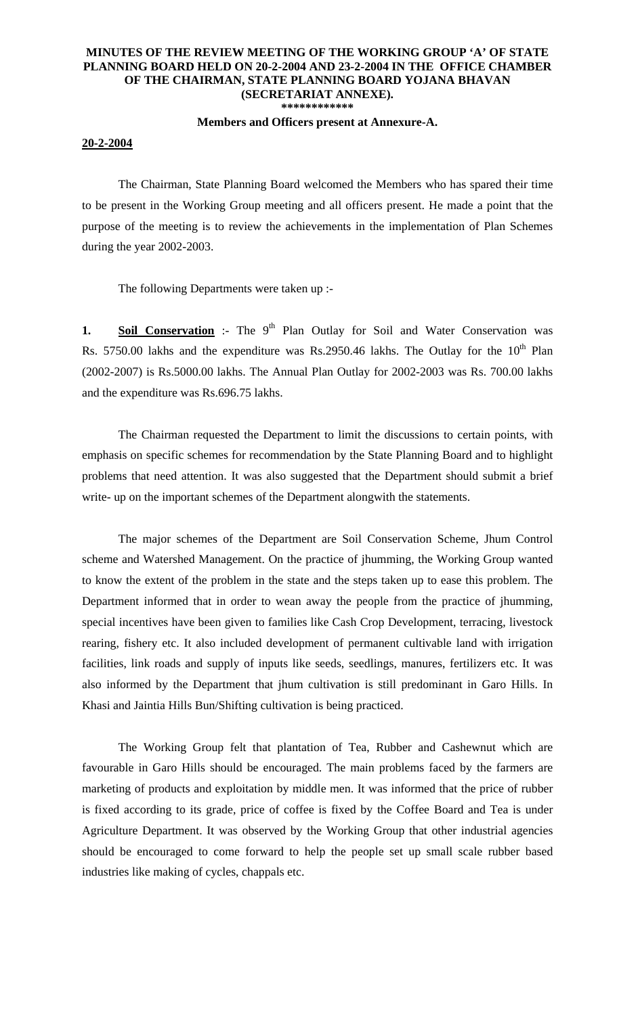## **MINUTES OF THE REVIEW MEETING OF THE WORKING GROUP 'A' OF STATE PLANNING BOARD HELD ON 20-2-2004 AND 23-2-2004 IN THE OFFICE CHAMBER OF THE CHAIRMAN, STATE PLANNING BOARD YOJANA BHAVAN (SECRETARIAT ANNEXE). \*\*\*\*\*\*\*\*\*\*\*\***

## **Members and Officers present at Annexure-A.**

## **20-2-2004**

 The Chairman, State Planning Board welcomed the Members who has spared their time to be present in the Working Group meeting and all officers present. He made a point that the purpose of the meeting is to review the achievements in the implementation of Plan Schemes during the year 2002-2003.

The following Departments were taken up :-

**1. Soil Conservation** :- The 9<sup>th</sup> Plan Outlay for Soil and Water Conservation was Rs. 5750.00 lakhs and the expenditure was Rs.2950.46 lakhs. The Outlay for the  $10^{th}$  Plan (2002-2007) is Rs.5000.00 lakhs. The Annual Plan Outlay for 2002-2003 was Rs. 700.00 lakhs and the expenditure was Rs.696.75 lakhs.

 The Chairman requested the Department to limit the discussions to certain points, with emphasis on specific schemes for recommendation by the State Planning Board and to highlight problems that need attention. It was also suggested that the Department should submit a brief write- up on the important schemes of the Department alongwith the statements.

 The major schemes of the Department are Soil Conservation Scheme, Jhum Control scheme and Watershed Management. On the practice of jhumming, the Working Group wanted to know the extent of the problem in the state and the steps taken up to ease this problem. The Department informed that in order to wean away the people from the practice of jhumming, special incentives have been given to families like Cash Crop Development, terracing, livestock rearing, fishery etc. It also included development of permanent cultivable land with irrigation facilities, link roads and supply of inputs like seeds, seedlings, manures, fertilizers etc. It was also informed by the Department that jhum cultivation is still predominant in Garo Hills. In Khasi and Jaintia Hills Bun/Shifting cultivation is being practiced.

 The Working Group felt that plantation of Tea, Rubber and Cashewnut which are favourable in Garo Hills should be encouraged. The main problems faced by the farmers are marketing of products and exploitation by middle men. It was informed that the price of rubber is fixed according to its grade, price of coffee is fixed by the Coffee Board and Tea is under Agriculture Department. It was observed by the Working Group that other industrial agencies should be encouraged to come forward to help the people set up small scale rubber based industries like making of cycles, chappals etc.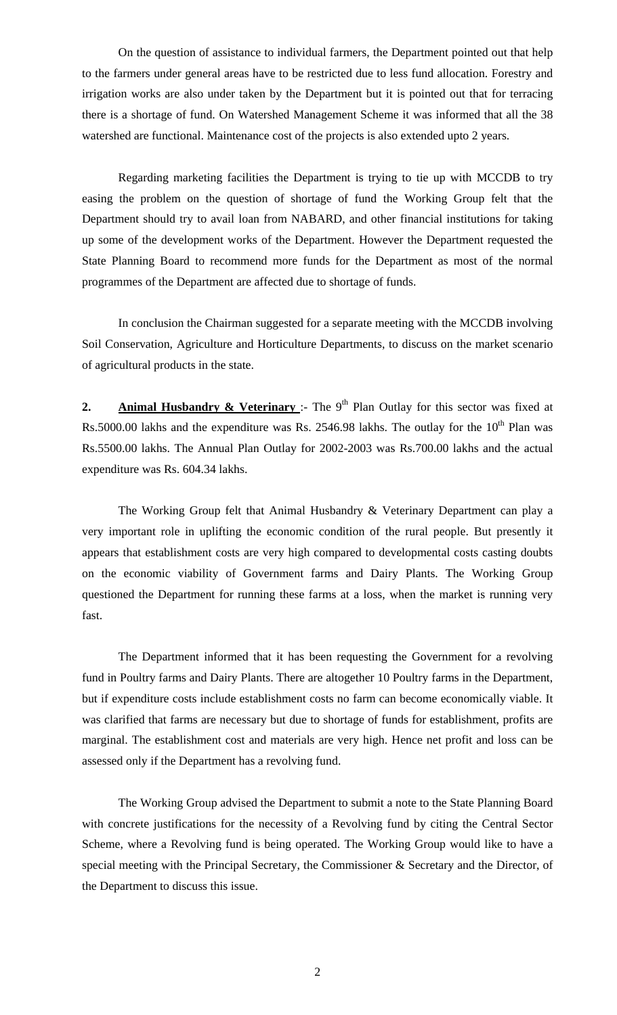On the question of assistance to individual farmers, the Department pointed out that help to the farmers under general areas have to be restricted due to less fund allocation. Forestry and irrigation works are also under taken by the Department but it is pointed out that for terracing there is a shortage of fund. On Watershed Management Scheme it was informed that all the 38 watershed are functional. Maintenance cost of the projects is also extended upto 2 years.

 Regarding marketing facilities the Department is trying to tie up with MCCDB to try easing the problem on the question of shortage of fund the Working Group felt that the Department should try to avail loan from NABARD, and other financial institutions for taking up some of the development works of the Department. However the Department requested the State Planning Board to recommend more funds for the Department as most of the normal programmes of the Department are affected due to shortage of funds.

 In conclusion the Chairman suggested for a separate meeting with the MCCDB involving Soil Conservation, Agriculture and Horticulture Departments, to discuss on the market scenario of agricultural products in the state.

**2. Animal Husbandry & Veterinary** :- The 9<sup>th</sup> Plan Outlay for this sector was fixed at Rs.5000.00 lakhs and the expenditure was Rs. 2546.98 lakhs. The outlay for the  $10^{th}$  Plan was Rs.5500.00 lakhs. The Annual Plan Outlay for 2002-2003 was Rs.700.00 lakhs and the actual expenditure was Rs. 604.34 lakhs.

 The Working Group felt that Animal Husbandry & Veterinary Department can play a very important role in uplifting the economic condition of the rural people. But presently it appears that establishment costs are very high compared to developmental costs casting doubts on the economic viability of Government farms and Dairy Plants. The Working Group questioned the Department for running these farms at a loss, when the market is running very fast.

 The Department informed that it has been requesting the Government for a revolving fund in Poultry farms and Dairy Plants. There are altogether 10 Poultry farms in the Department, but if expenditure costs include establishment costs no farm can become economically viable. It was clarified that farms are necessary but due to shortage of funds for establishment, profits are marginal. The establishment cost and materials are very high. Hence net profit and loss can be assessed only if the Department has a revolving fund.

 The Working Group advised the Department to submit a note to the State Planning Board with concrete justifications for the necessity of a Revolving fund by citing the Central Sector Scheme, where a Revolving fund is being operated. The Working Group would like to have a special meeting with the Principal Secretary, the Commissioner & Secretary and the Director, of the Department to discuss this issue.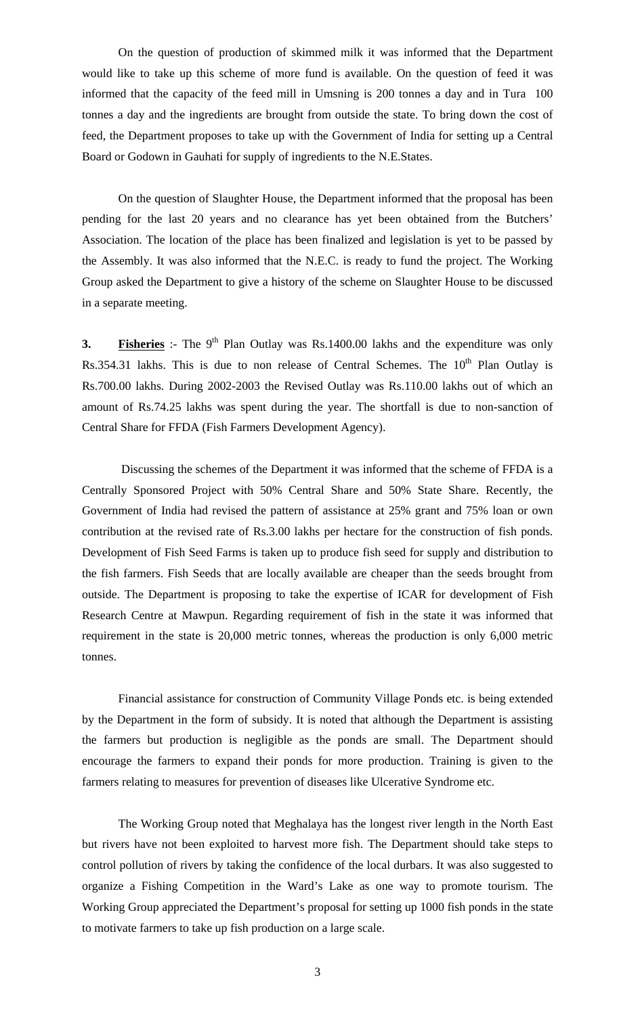On the question of production of skimmed milk it was informed that the Department would like to take up this scheme of more fund is available. On the question of feed it was informed that the capacity of the feed mill in Umsning is 200 tonnes a day and in Tura 100 tonnes a day and the ingredients are brought from outside the state. To bring down the cost of feed, the Department proposes to take up with the Government of India for setting up a Central Board or Godown in Gauhati for supply of ingredients to the N.E.States.

 On the question of Slaughter House, the Department informed that the proposal has been pending for the last 20 years and no clearance has yet been obtained from the Butchers' Association. The location of the place has been finalized and legislation is yet to be passed by the Assembly. It was also informed that the N.E.C. is ready to fund the project. The Working Group asked the Department to give a history of the scheme on Slaughter House to be discussed in a separate meeting.

**3. Fisheries** :- The 9<sup>th</sup> Plan Outlay was Rs.1400.00 lakhs and the expenditure was only Rs.354.31 lakhs. This is due to non release of Central Schemes. The  $10<sup>th</sup>$  Plan Outlay is Rs.700.00 lakhs. During 2002-2003 the Revised Outlay was Rs.110.00 lakhs out of which an amount of Rs.74.25 lakhs was spent during the year. The shortfall is due to non-sanction of Central Share for FFDA (Fish Farmers Development Agency).

 Discussing the schemes of the Department it was informed that the scheme of FFDA is a Centrally Sponsored Project with 50% Central Share and 50% State Share. Recently, the Government of India had revised the pattern of assistance at 25% grant and 75% loan or own contribution at the revised rate of Rs.3.00 lakhs per hectare for the construction of fish ponds. Development of Fish Seed Farms is taken up to produce fish seed for supply and distribution to the fish farmers. Fish Seeds that are locally available are cheaper than the seeds brought from outside. The Department is proposing to take the expertise of ICAR for development of Fish Research Centre at Mawpun. Regarding requirement of fish in the state it was informed that requirement in the state is 20,000 metric tonnes, whereas the production is only 6,000 metric tonnes.

Financial assistance for construction of Community Village Ponds etc. is being extended by the Department in the form of subsidy. It is noted that although the Department is assisting the farmers but production is negligible as the ponds are small. The Department should encourage the farmers to expand their ponds for more production. Training is given to the farmers relating to measures for prevention of diseases like Ulcerative Syndrome etc.

 The Working Group noted that Meghalaya has the longest river length in the North East but rivers have not been exploited to harvest more fish. The Department should take steps to control pollution of rivers by taking the confidence of the local durbars. It was also suggested to organize a Fishing Competition in the Ward's Lake as one way to promote tourism. The Working Group appreciated the Department's proposal for setting up 1000 fish ponds in the state to motivate farmers to take up fish production on a large scale.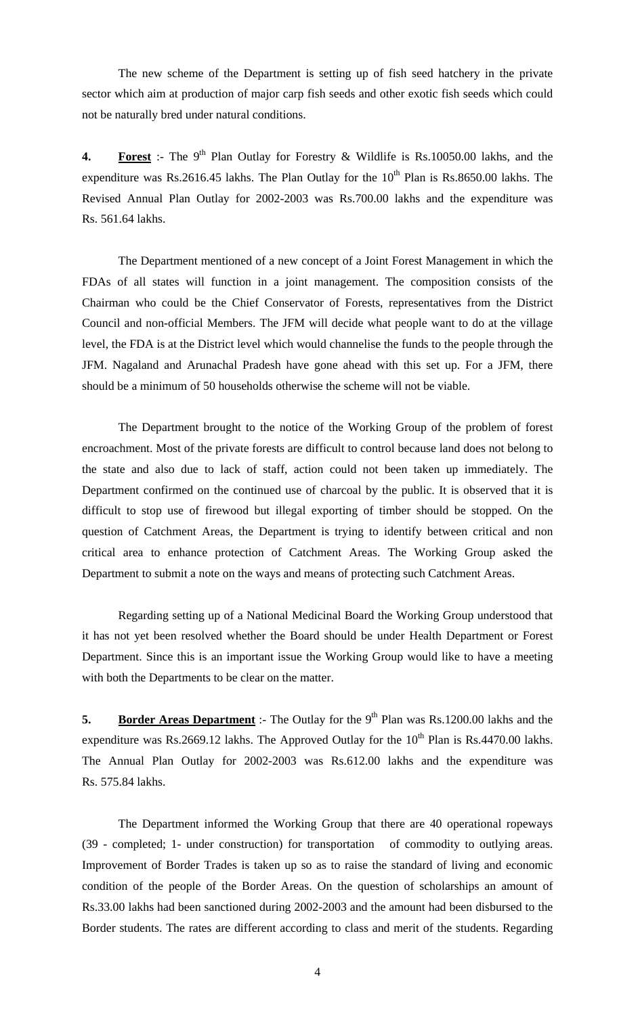The new scheme of the Department is setting up of fish seed hatchery in the private sector which aim at production of major carp fish seeds and other exotic fish seeds which could not be naturally bred under natural conditions.

**4. Forest** :- The 9<sup>th</sup> Plan Outlay for Forestry & Wildlife is Rs.10050.00 lakhs, and the expenditure was Rs.2616.45 lakhs. The Plan Outlay for the  $10^{th}$  Plan is Rs.8650.00 lakhs. The Revised Annual Plan Outlay for 2002-2003 was Rs.700.00 lakhs and the expenditure was Rs. 561.64 lakhs.

 The Department mentioned of a new concept of a Joint Forest Management in which the FDAs of all states will function in a joint management. The composition consists of the Chairman who could be the Chief Conservator of Forests, representatives from the District Council and non-official Members. The JFM will decide what people want to do at the village level, the FDA is at the District level which would channelise the funds to the people through the JFM. Nagaland and Arunachal Pradesh have gone ahead with this set up. For a JFM, there should be a minimum of 50 households otherwise the scheme will not be viable.

 The Department brought to the notice of the Working Group of the problem of forest encroachment. Most of the private forests are difficult to control because land does not belong to the state and also due to lack of staff, action could not been taken up immediately. The Department confirmed on the continued use of charcoal by the public. It is observed that it is difficult to stop use of firewood but illegal exporting of timber should be stopped. On the question of Catchment Areas, the Department is trying to identify between critical and non critical area to enhance protection of Catchment Areas. The Working Group asked the Department to submit a note on the ways and means of protecting such Catchment Areas.

 Regarding setting up of a National Medicinal Board the Working Group understood that it has not yet been resolved whether the Board should be under Health Department or Forest Department. Since this is an important issue the Working Group would like to have a meeting with both the Departments to be clear on the matter.

**5. Border Areas Department** :- The Outlay for the 9<sup>th</sup> Plan was Rs.1200.00 lakhs and the expenditure was Rs.2669.12 lakhs. The Approved Outlay for the  $10^{th}$  Plan is Rs.4470.00 lakhs. The Annual Plan Outlay for 2002-2003 was Rs.612.00 lakhs and the expenditure was Rs. 575.84 lakhs.

 The Department informed the Working Group that there are 40 operational ropeways (39 - completed; 1- under construction) for transportation of commodity to outlying areas. Improvement of Border Trades is taken up so as to raise the standard of living and economic condition of the people of the Border Areas. On the question of scholarships an amount of Rs.33.00 lakhs had been sanctioned during 2002-2003 and the amount had been disbursed to the Border students. The rates are different according to class and merit of the students. Regarding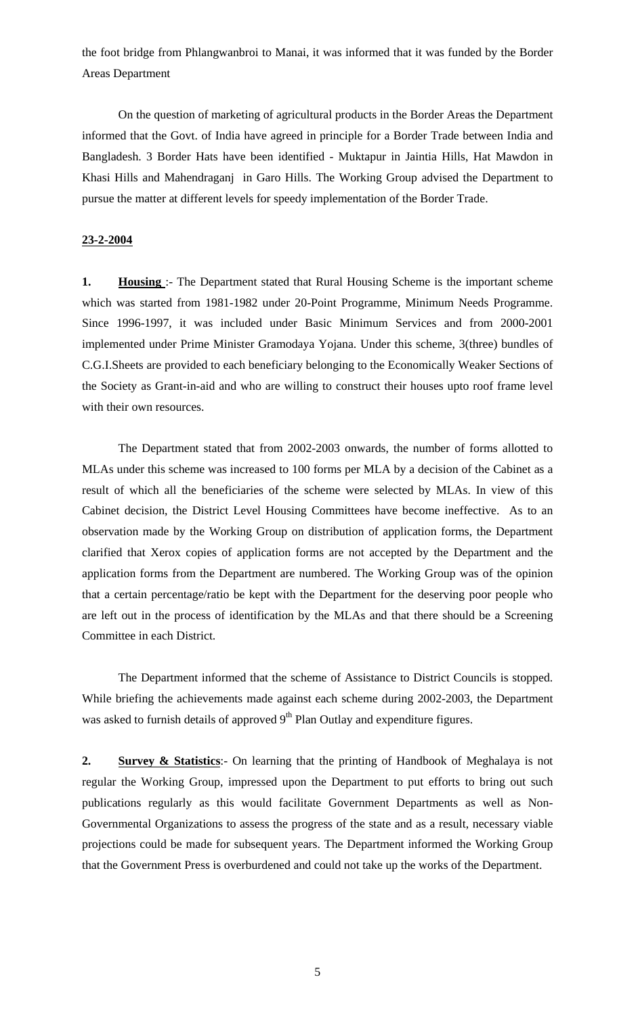the foot bridge from Phlangwanbroi to Manai, it was informed that it was funded by the Border Areas Department

 On the question of marketing of agricultural products in the Border Areas the Department informed that the Govt. of India have agreed in principle for a Border Trade between India and Bangladesh. 3 Border Hats have been identified - Muktapur in Jaintia Hills, Hat Mawdon in Khasi Hills and Mahendraganj in Garo Hills. The Working Group advised the Department to pursue the matter at different levels for speedy implementation of the Border Trade.

## **23-2-2004**

**1. Housing** :- The Department stated that Rural Housing Scheme is the important scheme which was started from 1981-1982 under 20-Point Programme, Minimum Needs Programme. Since 1996-1997, it was included under Basic Minimum Services and from 2000-2001 implemented under Prime Minister Gramodaya Yojana. Under this scheme, 3(three) bundles of C.G.I.Sheets are provided to each beneficiary belonging to the Economically Weaker Sections of the Society as Grant-in-aid and who are willing to construct their houses upto roof frame level with their own resources.

 The Department stated that from 2002-2003 onwards, the number of forms allotted to MLAs under this scheme was increased to 100 forms per MLA by a decision of the Cabinet as a result of which all the beneficiaries of the scheme were selected by MLAs. In view of this Cabinet decision, the District Level Housing Committees have become ineffective. As to an observation made by the Working Group on distribution of application forms, the Department clarified that Xerox copies of application forms are not accepted by the Department and the application forms from the Department are numbered. The Working Group was of the opinion that a certain percentage/ratio be kept with the Department for the deserving poor people who are left out in the process of identification by the MLAs and that there should be a Screening Committee in each District.

 The Department informed that the scheme of Assistance to District Councils is stopped. While briefing the achievements made against each scheme during 2002-2003, the Department was asked to furnish details of approved  $9<sup>th</sup>$  Plan Outlay and expenditure figures.

**2. Survey & Statistics**:- On learning that the printing of Handbook of Meghalaya is not regular the Working Group, impressed upon the Department to put efforts to bring out such publications regularly as this would facilitate Government Departments as well as Non-Governmental Organizations to assess the progress of the state and as a result, necessary viable projections could be made for subsequent years. The Department informed the Working Group that the Government Press is overburdened and could not take up the works of the Department.